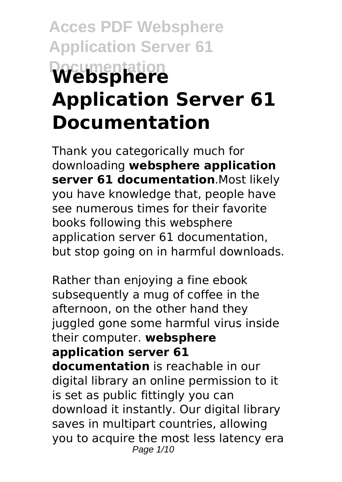# **Acces PDF Websphere Application Server 61 Documentation Websphere Application Server 61 Documentation**

Thank you categorically much for downloading **websphere application server 61 documentation**.Most likely you have knowledge that, people have see numerous times for their favorite books following this websphere application server 61 documentation, but stop going on in harmful downloads.

Rather than enjoying a fine ebook subsequently a mug of coffee in the afternoon, on the other hand they juggled gone some harmful virus inside their computer. **websphere application server 61 documentation** is reachable in our digital library an online permission to it is set as public fittingly you can download it instantly. Our digital library saves in multipart countries, allowing you to acquire the most less latency era Page 1/10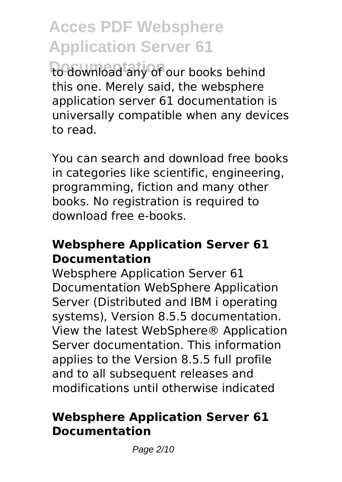to download any of our books behind this one. Merely said, the websphere application server 61 documentation is universally compatible when any devices to read.

You can search and download free books in categories like scientific, engineering, programming, fiction and many other books. No registration is required to download free e-books.

### **Websphere Application Server 61 Documentation**

Websphere Application Server 61 Documentation WebSphere Application Server (Distributed and IBM i operating systems), Version 8.5.5 documentation. View the latest WebSphere® Application Server documentation. This information applies to the Version 8.5.5 full profile and to all subsequent releases and modifications until otherwise indicated

### **Websphere Application Server 61 Documentation**

Page 2/10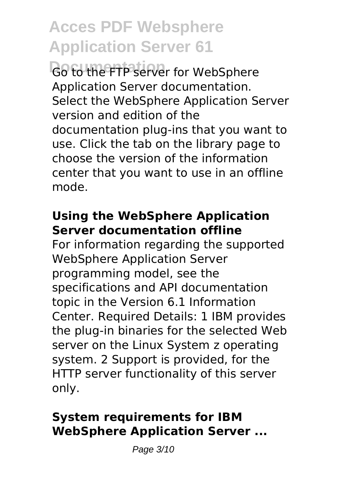**Documentation** Go to the FTP server for WebSphere Application Server documentation. Select the WebSphere Application Server version and edition of the documentation plug-ins that you want to use. Click the tab on the library page to choose the version of the information center that you want to use in an offline mode.

### **Using the WebSphere Application Server documentation offline**

For information regarding the supported WebSphere Application Server programming model, see the specifications and API documentation topic in the Version 6.1 Information Center. Required Details: 1 IBM provides the plug-in binaries for the selected Web server on the Linux System z operating system. 2 Support is provided, for the HTTP server functionality of this server only.

### **System requirements for IBM WebSphere Application Server ...**

Page 3/10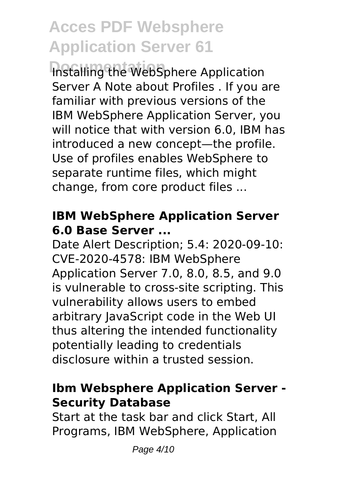**Installing the WebSphere Application** Server A Note about Profiles . If you are familiar with previous versions of the IBM WebSphere Application Server, you will notice that with version 6.0, IBM has introduced a new concept—the profile. Use of profiles enables WebSphere to separate runtime files, which might change, from core product files ...

### **IBM WebSphere Application Server 6.0 Base Server ...**

Date Alert Description; 5.4: 2020-09-10: CVE-2020-4578: IBM WebSphere Application Server 7.0, 8.0, 8.5, and 9.0 is vulnerable to cross-site scripting. This vulnerability allows users to embed arbitrary JavaScript code in the Web UI thus altering the intended functionality potentially leading to credentials disclosure within a trusted session.

#### **Ibm Websphere Application Server - Security Database**

Start at the task bar and click Start, All Programs, IBM WebSphere, Application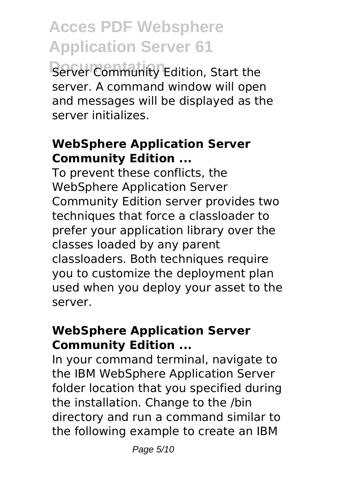**Server Community Edition, Start the** server. A command window will open and messages will be displayed as the server initializes.

#### **WebSphere Application Server Community Edition ...**

To prevent these conflicts, the WebSphere Application Server Community Edition server provides two techniques that force a classloader to prefer your application library over the classes loaded by any parent classloaders. Both techniques require you to customize the deployment plan used when you deploy your asset to the server.

#### **WebSphere Application Server Community Edition ...**

In your command terminal, navigate to the IBM WebSphere Application Server folder location that you specified during the installation. Change to the /bin directory and run a command similar to the following example to create an IBM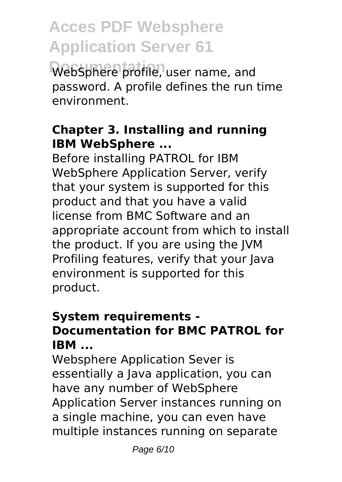WebSphere profile, user name, and password. A profile defines the run time environment.

#### **Chapter 3. Installing and running IBM WebSphere ...**

Before installing PATROL for IBM WebSphere Application Server, verify that your system is supported for this product and that you have a valid license from BMC Software and an appropriate account from which to install the product. If you are using the JVM Profiling features, verify that your Java environment is supported for this product.

#### **System requirements - Documentation for BMC PATROL for IBM ...**

Websphere Application Sever is essentially a Java application, you can have any number of WebSphere Application Server instances running on a single machine, you can even have multiple instances running on separate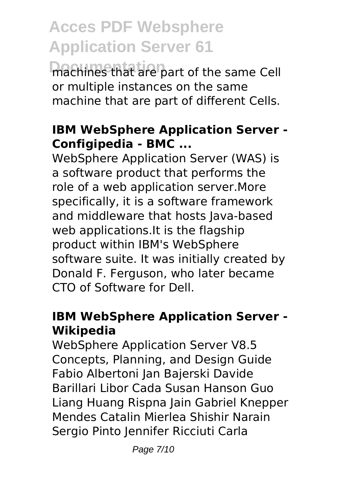machines that are part of the same Cell or multiple instances on the same machine that are part of different Cells.

#### **IBM WebSphere Application Server - Configipedia - BMC ...**

WebSphere Application Server (WAS) is a software product that performs the role of a web application server.More specifically, it is a software framework and middleware that hosts Java-based web applications.It is the flagship product within IBM's WebSphere software suite. It was initially created by Donald F. Ferguson, who later became CTO of Software for Dell.

# **IBM WebSphere Application Server - Wikipedia**

WebSphere Application Server V8.5 Concepts, Planning, and Design Guide Fabio Albertoni Jan Bajerski Davide Barillari Libor Cada Susan Hanson Guo Liang Huang Rispna Jain Gabriel Knepper Mendes Catalin Mierlea Shishir Narain Sergio Pinto Jennifer Ricciuti Carla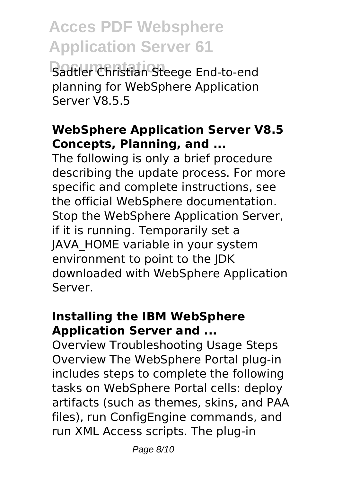**Sadtler Christian Steege End-to-end** planning for WebSphere Application Server V8.5.5

#### **WebSphere Application Server V8.5 Concepts, Planning, and ...**

The following is only a brief procedure describing the update process. For more specific and complete instructions, see the official WebSphere documentation. Stop the WebSphere Application Server, if it is running. Temporarily set a JAVA\_HOME variable in your system environment to point to the JDK downloaded with WebSphere Application Server.

## **Installing the IBM WebSphere Application Server and ...**

Overview Troubleshooting Usage Steps Overview The WebSphere Portal plug-in includes steps to complete the following tasks on WebSphere Portal cells: deploy artifacts (such as themes, skins, and PAA files), run ConfigEngine commands, and run XML Access scripts. The plug-in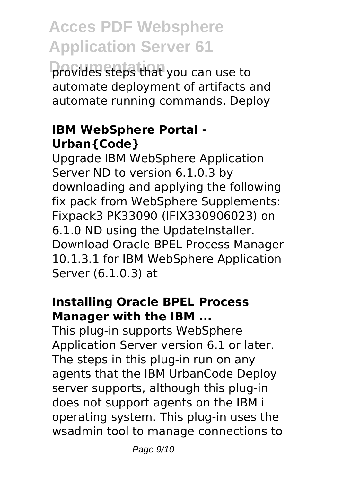**Documentation** provides steps that you can use to automate deployment of artifacts and automate running commands. Deploy

### **IBM WebSphere Portal - Urban{Code}**

Upgrade IBM WebSphere Application Server ND to version 6.1.0.3 by downloading and applying the following fix pack from WebSphere Supplements: Fixpack3 PK33090 (IFIX330906023) on 6.1.0 ND using the UpdateInstaller. Download Oracle BPEL Process Manager 10.1.3.1 for IBM WebSphere Application Server (6.1.0.3) at

#### **Installing Oracle BPEL Process Manager with the IBM ...**

This plug-in supports WebSphere Application Server version 6.1 or later. The steps in this plug-in run on any agents that the IBM UrbanCode Deploy server supports, although this plug-in does not support agents on the IBM i operating system. This plug-in uses the wsadmin tool to manage connections to